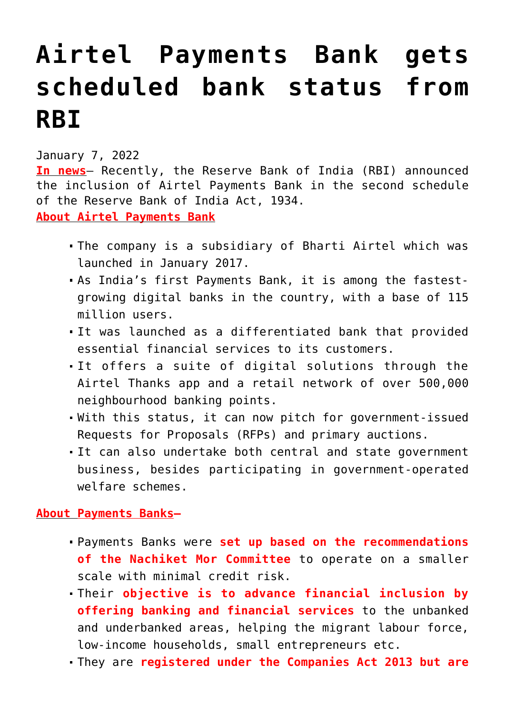## **[Airtel Payments Bank gets](https://journalsofindia.com/airtel-payments-bank-gets-scheduled-bank-status-from-rbi/) [scheduled bank status from](https://journalsofindia.com/airtel-payments-bank-gets-scheduled-bank-status-from-rbi/) [RBI](https://journalsofindia.com/airtel-payments-bank-gets-scheduled-bank-status-from-rbi/)**

January 7, 2022

**In news**– Recently, the Reserve Bank of India (RBI) announced the inclusion of Airtel Payments Bank in the second schedule of the Reserve Bank of India Act, 1934. **About Airtel Payments Bank**

- The company is a subsidiary of Bharti Airtel which was launched in January 2017.
- As India's first Payments Bank, it is among the fastestgrowing digital banks in the country, with a base of 115 million users.
- It was launched as a differentiated bank that provided essential financial services to its customers.
- It offers a suite of digital solutions through the Airtel Thanks app and a retail network of over 500,000 neighbourhood banking points.
- With this status, it can now pitch for government-issued Requests for Proposals (RFPs) and primary auctions.
- It can also undertake both central and state government business, besides participating in government-operated welfare schemes.

## **About Payments Banks–**

- Payments Banks were **set up based on the recommendations of the Nachiket Mor Committee** to operate on a smaller scale with minimal credit risk.
- Their **objective is to advance financial inclusion by offering banking and financial services** to the unbanked and underbanked areas, helping the migrant labour force, low-income households, small entrepreneurs etc.
- They are **registered under the Companies Act 2013 but are**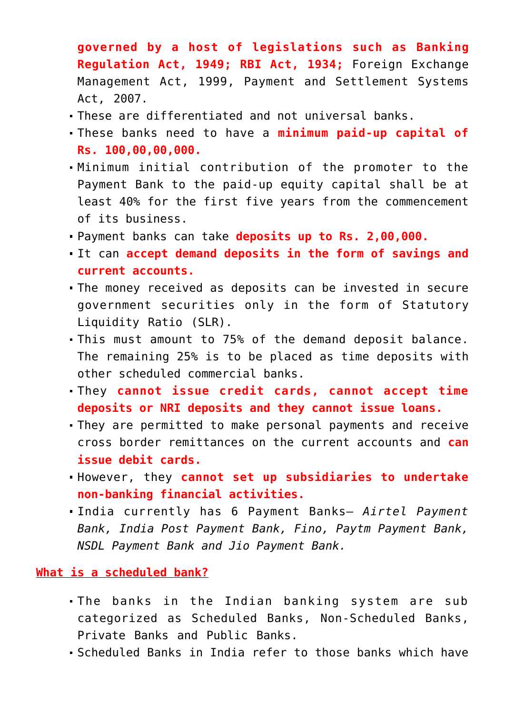**governed by a host of legislations such as Banking Regulation Act, 1949; RBI Act, 1934;** Foreign Exchange Management Act, 1999, Payment and Settlement Systems Act, 2007.

- These are differentiated and not universal banks.
- These banks need to have a **minimum paid-up capital of Rs. 100,00,00,000.**
- Minimum initial contribution of the promoter to the Payment Bank to the paid-up equity capital shall be at least 40% for the first five years from the commencement of its business.
- Payment banks can take **deposits up to Rs. 2,00,000.**
- It can **accept demand deposits in the form of savings and current accounts.**
- The money received as deposits can be invested in secure government securities only in the form of Statutory Liquidity Ratio (SLR).
- This must amount to 75% of the demand deposit balance. The remaining 25% is to be placed as time deposits with other scheduled commercial banks.
- They **cannot issue credit cards, cannot accept time deposits or NRI deposits and they cannot issue loans.**
- They are permitted to make personal payments and receive cross border remittances on the current accounts and **can issue debit cards.**
- However, they **cannot set up subsidiaries to undertake non-banking financial activities.**
- India currently has 6 Payment Banks— *Airtel Payment Bank, India Post Payment Bank, Fino, Paytm Payment Bank, NSDL Payment Bank and Jio Payment Bank.*

## **What is a scheduled bank?**

- The banks in the Indian banking system are sub categorized as Scheduled Banks, Non-Scheduled Banks, Private Banks and Public Banks.
- Scheduled Banks in India refer to those banks which have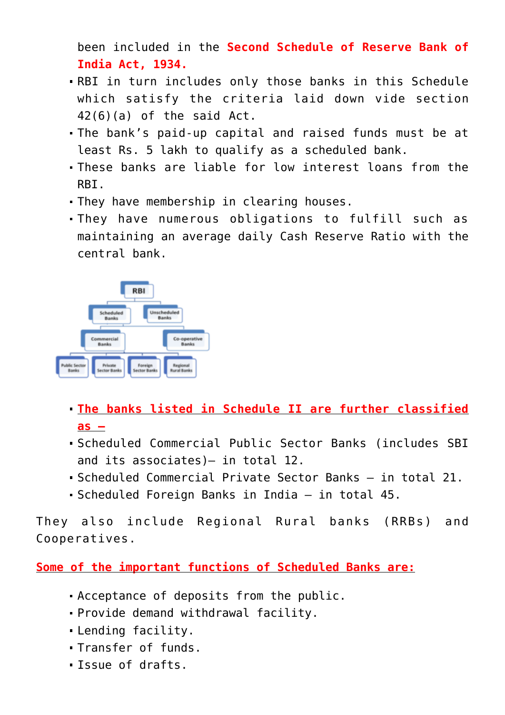been included in the **Second Schedule of Reserve Bank of India Act, 1934.** 

- RBI in turn includes only those banks in this Schedule which satisfy the criteria laid down vide section 42(6)(a) of the said Act.
- The bank's paid-up capital and raised funds must be at least Rs. 5 lakh to qualify as a scheduled bank.
- These banks are liable for low interest loans from the RBI.
- They have membership in clearing houses.
- They have numerous obligations to fulfill such as maintaining an average daily Cash Reserve Ratio with the central bank.



- **The banks listed in Schedule II are further classified as –**
- Scheduled Commercial Public Sector Banks (includes SBI and its associates)— in total 12.
- Scheduled Commercial Private Sector Banks in total 21.
- Scheduled Foreign Banks in India in total 45.

They also include Regional Rural banks (RRBs) and Cooperatives.

**Some of the important functions of Scheduled Banks are:**

- Acceptance of deposits from the public.
- Provide demand withdrawal facility.
- Lending facility.
- Transfer of funds.
- Issue of drafts.